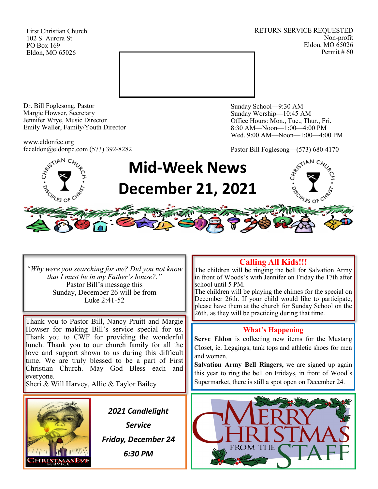First Christian Church 102 S. Aurora St PO Box 169 Eldon, MO 65026

RETURN SERVICE REQUESTED Non-profit Eldon, MO 65026 Permit # 60



Dr. Bill Foglesong, Pastor Margie Howser, Secretary Jennifer Wrye, Music Director Emily Waller, Family/Youth Director

www.eldonfcc.org fcceldon@eldonpc.com (573) 392-8282 Sunday School—9:30 AM Sunday Worship—10:45 AM Office Hours: Mon., Tue., Thur., Fri. 8:30 AM—Noon—1:00—4:00 PM Wed. 9:00 AM—Noon—1:00—4:00 PM

Pastor Bill Foglesong—(573) 680-4170



*"Why were you searching for me? Did you not know that I must be in my Father's house?."* Pastor Bill's message this Sunday, December 26 will be from Luke 2:41-52

Thank you to Pastor Bill, Nancy Pruitt and Margie Howser for making Bill's service special for us. Thank you to CWF for providing the wonderful lunch. Thank you to our church family for all the love and support shown to us during this difficult time. We are truly blessed to be a part of First Christian Church. May God Bless each and everyone.

Sheri & Will Harvey, Allie & Taylor Bailey



*2021 Candlelight Service Friday, December 24 6:30 PM*

# **Calling All Kids!!!**

The children will be ringing the bell for Salvation Army in front of Woods's with Jennifer on Friday the 17th after school until 5 PM.

The children will be playing the chimes for the special on December 26th. If your child would like to participate, please have them at the church for Sunday School on the 26th, as they will be practicing during that time.

### **What's Happening**

**Serve Eldon** is collecting new items for the Mustang Closet, ie. Leggings, tank tops and athletic shoes for men and women.

**Salvation Army Bell Ringers,** we are signed up again this year to ring the bell on Fridays, in front of Wood's Supermarket, there is still a spot open on December 24.